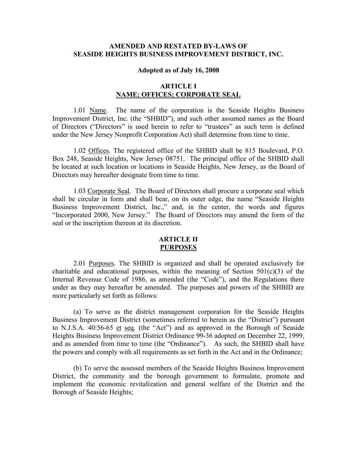## **AMENDED AND RESTATED BY-LAWS OF SEASIDE HEIGHTS BUSINESS IMPROVEMENT DISTRICT, INC.**

#### **Adopted as of July 16, 2008**

## **ARTICLE I NAME; OFFICES; CORPORATE SEAL**

1.01 Name. The name of the corporation is the Seaside Heights Business Improvement District, Inc. (the "SHBID"), and such other assumed names as the Board of Directors ("Directors" is used herein to refer to "trustees" as such term is defined under the New Jersey Nonprofit Corporation Act) shall determine from time to time.

1.02 Offices. The registered office of the SHBID shall be 815 Boulevard, P.O. Box 248, Seaside Heights, New Jersey 08751. The principal office of the SHBID shall be located at such location or locations in Seaside Heights, New Jersey, as the Board of Directors may hereafter designate from time to time.

1.03 Corporate Seal. The Board of Directors shall procure a corporate seal which shall be circular in form and shall bear, on its outer edge, the name "Seaside Heights Business Improvement District, Inc.," and, in the center, the words and figures "Incorporated 2000, New Jersey." The Board of Directors may amend the form of the seal or the inscription thereon at its discretion.

## **ARTICLE II PURPOSES**

2.01 Purposes. The SHBID is organized and shall be operated exclusively for charitable and educational purposes, within the meaning of Section  $501(c)(3)$  of the Internal Revenue Code of 1986, as amended (the "Code"), and the Regulations there under as they may hereafter be amended. The purposes and powers of the SHBID are more particularly set forth as follows:

(a) To serve as the district management corporation for the Seaside Heights Business Improvement District (sometimes referred to herein as the "District") pursuant to N.J.S.A.  $40:56-65$  et seq. (the "Act") and as approved in the Borough of Seaside Heights Business Improvement District Ordinance 99-36 adopted on December 22, 1999, and as amended from time to time (the "Ordinance"). As such, the SHBID shall have the powers and comply with all requirements as set forth in the Act and in the Ordinance;

(b) To serve the assessed members of the Seaside Heights Business Improvement District, the community and the borough government to formulate, promote and implement the economic revitalization and general welfare of the District and the Borough of Seaside Heights;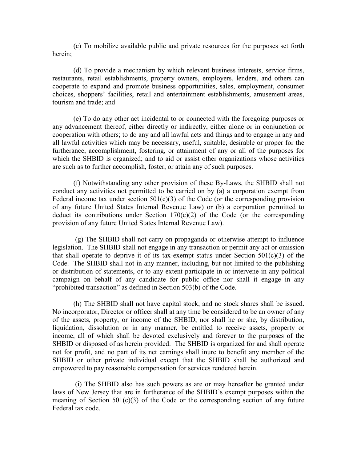(c) To mobilize available public and private resources for the purposes set forth herein;

(d) To provide a mechanism by which relevant business interests, service firms, restaurants, retail establishments, property owners, employers, lenders, and others can cooperate to expand and promote business opportunities, sales, employment, consumer choices, shoppers' facilities, retail and entertainment establishments, amusement areas, tourism and trade; and

(e) To do any other act incidental to or connected with the foregoing purposes or any advancement thereof, either directly or indirectly, either alone or in conjunction or cooperation with others; to do any and all lawful acts and things and to engage in any and all lawful activities which may be necessary, useful, suitable, desirable or proper for the furtherance, accomplishment, fostering, or attainment of any or all of the purposes for which the SHBID is organized; and to aid or assist other organizations whose activities are such as to further accomplish, foster, or attain any of such purposes.

(f) Notwithstanding any other provision of these By-Laws, the SHBID shall not conduct any activities not permitted to be carried on by (a) a corporation exempt from Federal income tax under section  $501(c)(3)$  of the Code (or the corresponding provision of any future United States Internal Revenue Law) or (b) a corporation permitted to deduct its contributions under Section  $170(c)(2)$  of the Code (or the corresponding provision of any future United States Internal Revenue Law).

 (g) The SHBID shall not carry on propaganda or otherwise attempt to influence legislation. The SHBID shall not engage in any transaction or permit any act or omission that shall operate to deprive it of its tax-exempt status under Section  $501(c)(3)$  of the Code. The SHBID shall not in any manner, including, but not limited to the publishing or distribution of statements, or to any extent participate in or intervene in any political campaign on behalf of any candidate for public office nor shall it engage in any "prohibited transaction" as defined in Section 503(b) of the Code.

(h) The SHBID shall not have capital stock, and no stock shares shall be issued. No incorporator, Director or officer shall at any time be considered to be an owner of any of the assets, property, or income of the SHBID, nor shall he or she, by distribution, liquidation, dissolution or in any manner, be entitled to receive assets, property or income, all of which shall be devoted exclusively and forever to the purposes of the SHBID or disposed of as herein provided. The SHBID is organized for and shall operate not for profit, and no part of its net earnings shall inure to benefit any member of the SHBID or other private individual except that the SHBID shall be authorized and empowered to pay reasonable compensation for services rendered herein.

 (i) The SHBID also has such powers as are or may hereafter be granted under laws of New Jersey that are in furtherance of the SHBID's exempt purposes within the meaning of Section  $501(c)(3)$  of the Code or the corresponding section of any future Federal tax code.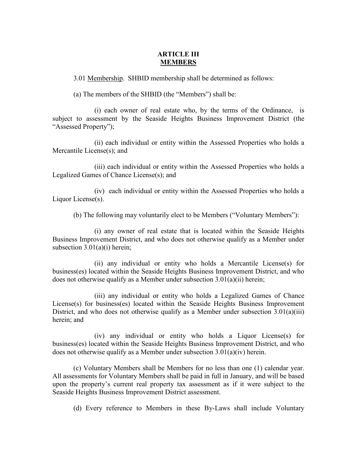## **ARTICLE III MEMBERS**

3.01 Membership. SHBID membership shall be determined as follows:

(a) The members of the SHBID (the "Members") shall be:

(i) each owner of real estate who, by the terms of the Ordinance, is subject to assessment by the Seaside Heights Business Improvement District (the "Assessed Property");

(ii) each individual or entity within the Assessed Properties who holds a Mercantile License(s); and

(iii) each individual or entity within the Assessed Properties who holds a Legalized Games of Chance License(s); and

(iv) each individual or entity within the Assessed Properties who holds a Liquor License(s).

(b) The following may voluntarily elect to be Members ("Voluntary Members"):

(i) any owner of real estate that is located within the Seaside Heights Business Improvement District, and who does not otherwise qualify as a Member under subsection 3.01(a)(i) herein;

(ii) any individual or entity who holds a Mercantile License(s) for business(es) located within the Seaside Heights Business Improvement District, and who does not otherwise qualify as a Member under subsection 3.01(a)(ii) herein;

(iii) any individual or entity who holds a Legalized Games of Chance License(s) for business(es) located within the Seaside Heights Business Improvement District, and who does not otherwise qualify as a Member under subsection 3.01(a)(iii) herein; and

(iv) any individual or entity who holds a Liquor License(s) for business(es) located within the Seaside Heights Business Improvement District, and who does not otherwise qualify as a Member under subsection 3.01(a)(iv) herein.

(c) Voluntary Members shall be Members for no less than one (1) calendar year. All assessments for Voluntary Members shall be paid in full in January, and will be based upon the property's current real property tax assessment as if it were subject to the Seaside Heights Business Improvement District assessment.

(d) Every reference to Members in these By-Laws shall include Voluntary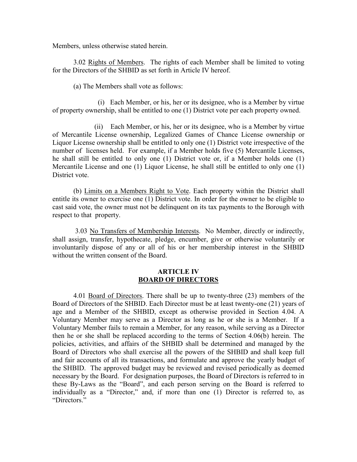Members, unless otherwise stated herein.

3.02 Rights of Members. The rights of each Member shall be limited to voting for the Directors of the SHBID as set forth in Article IV hereof.

(a) The Members shall vote as follows:

 (i) Each Member, or his, her or its designee, who is a Member by virtue of property ownership, shall be entitled to one (1) District vote per each property owned.

(ii) Each Member, or his, her or its designee, who is a Member by virtue of Mercantile License ownership, Legalized Games of Chance License ownership or Liquor License ownership shall be entitled to only one (1) District vote irrespective of the number of licenses held. For example, if a Member holds five (5) Mercantile Licenses, he shall still be entitled to only one (1) District vote or, if a Member holds one (1) Mercantile License and one (1) Liquor License, he shall still be entitled to only one (1) District vote.

(b) Limits on a Members Right to Vote. Each property within the District shall entitle its owner to exercise one (1) District vote. In order for the owner to be eligible to cast said vote, the owner must not be delinquent on its tax payments to the Borough with respect to that property.

 3.03 No Transfers of Membership Interests. No Member, directly or indirectly, shall assign, transfer, hypothecate, pledge, encumber, give or otherwise voluntarily or involuntarily dispose of any or all of his or her membership interest in the SHBID without the written consent of the Board.

### **ARTICLE IV BOARD OF DIRECTORS**

4.01 Board of Directors. There shall be up to twenty-three (23) members of the Board of Directors of the SHBID. Each Director must be at least twenty-one (21) years of age and a Member of the SHBID, except as otherwise provided in Section 4.04. A Voluntary Member may serve as a Director as long as he or she is a Member. If a Voluntary Member fails to remain a Member, for any reason, while serving as a Director then he or she shall be replaced according to the terms of Section 4.06(b) herein. The policies, activities, and affairs of the SHBID shall be determined and managed by the Board of Directors who shall exercise all the powers of the SHBID and shall keep full and fair accounts of all its transactions, and formulate and approve the yearly budget of the SHBID. The approved budget may be reviewed and revised periodically as deemed necessary by the Board. For designation purposes, the Board of Directors is referred to in these By-Laws as the "Board", and each person serving on the Board is referred to individually as a "Director," and, if more than one (1) Director is referred to, as "Directors."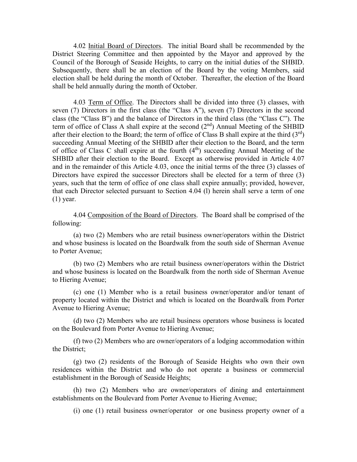4.02 Initial Board of Directors. The initial Board shall be recommended by the District Steering Committee and then appointed by the Mayor and approved by the Council of the Borough of Seaside Heights, to carry on the initial duties of the SHBID. Subsequently, there shall be an election of the Board by the voting Members, said election shall be held during the month of October. Thereafter, the election of the Board shall be held annually during the month of October.

4.03 Term of Office. The Directors shall be divided into three (3) classes, with seven (7) Directors in the first class (the "Class A"), seven (7) Directors in the second class (the "Class B") and the balance of Directors in the third class (the "Class C"). The term of office of Class A shall expire at the second  $(2<sup>nd</sup>)$  Annual Meeting of the SHBID after their election to the Board; the term of office of Class B shall expire at the third  $(3<sup>rd</sup>)$ succeeding Annual Meeting of the SHBID after their election to the Board, and the term of office of Class C shall expire at the fourth  $(4<sup>th</sup>)$  succeeding Annual Meeting of the SHBID after their election to the Board. Except as otherwise provided in Article 4.07 and in the remainder of this Article 4.03, once the initial terms of the three (3) classes of Directors have expired the successor Directors shall be elected for a term of three (3) years, such that the term of office of one class shall expire annually; provided, however, that each Director selected pursuant to Section 4.04 (l) herein shall serve a term of one (1) year.

4.04 Composition of the Board of Directors. The Board shall be comprised of the following:

(a) two (2) Members who are retail business owner/operators within the District and whose business is located on the Boardwalk from the south side of Sherman Avenue to Porter Avenue;

(b) two (2) Members who are retail business owner/operators within the District and whose business is located on the Boardwalk from the north side of Sherman Avenue to Hiering Avenue;

(c) one (1) Member who is a retail business owner/operator and/or tenant of property located within the District and which is located on the Boardwalk from Porter Avenue to Hiering Avenue;

(d) two (2) Members who are retail business operators whose business is located on the Boulevard from Porter Avenue to Hiering Avenue;

(f) two (2) Members who are owner/operators of a lodging accommodation within the District;

(g) two (2) residents of the Borough of Seaside Heights who own their own residences within the District and who do not operate a business or commercial establishment in the Borough of Seaside Heights;

(h) two (2) Members who are owner/operators of dining and entertainment establishments on the Boulevard from Porter Avenue to Hiering Avenue;

(i) one (1) retail business owner/operator or one business property owner of a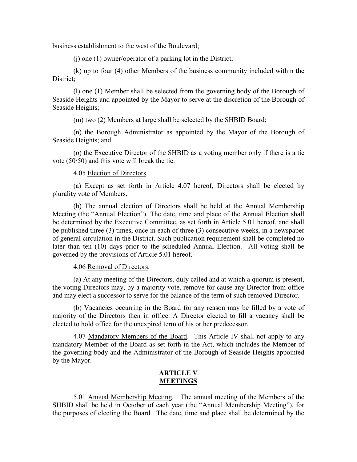business establishment to the west of the Boulevard;

(j) one (1) owner/operator of a parking lot in the District;

(k) up to four (4) other Members of the business community included within the District;

(l) one (1) Member shall be selected from the governing body of the Borough of Seaside Heights and appointed by the Mayor to serve at the discretion of the Borough of Seaside Heights;

(m) two (2) Members at large shall be selected by the SHBID Board;

(n) the Borough Administrator as appointed by the Mayor of the Borough of Seaside Heights; and

(o) the Executive Director of the SHBID as a voting member only if there is a tie vote (50/50) and this vote will break the tie.

#### 4.05 Election of Directors.

(a) Except as set forth in Article 4.07 hereof, Directors shall be elected by plurality vote of Members.

(b) The annual election of Directors shall be held at the Annual Membership Meeting (the "Annual Election"). The date, time and place of the Annual Election shall be determined by the Executive Committee, as set forth in Article 5.01 hereof, and shall be published three (3) times, once in each of three (3) consecutive weeks, in a newspaper of general circulation in the District. Such publication requirement shall be completed no later than ten (10) days prior to the scheduled Annual Election. All voting shall be governed by the provisions of Article 5.01 hereof.

4.06 Removal of Directors.

(a) At any meeting of the Directors, duly called and at which a quorum is present, the voting Directors may, by a majority vote, remove for cause any Director from office and may elect a successor to serve for the balance of the term of such removed Director.

(b) Vacancies occurring in the Board for any reason may be filled by a vote of majority of the Directors then in office. A Director elected to fill a vacancy shall be elected to hold office for the unexpired term of his or her predecessor.

4.07 Mandatory Members of the Board. This Article IV shall not apply to any mandatory Member of the Board as set forth in the Act, which includes the Member of the governing body and the Administrator of the Borough of Seaside Heights appointed by the Mayor.

## **ARTICLE V MEETINGS**

5.01 Annual Membership Meeting. The annual meeting of the Members of the SHBID shall be held in October of each year (the "Annual Membership Meeting"), for the purposes of electing the Board. The date, time and place shall be determined by the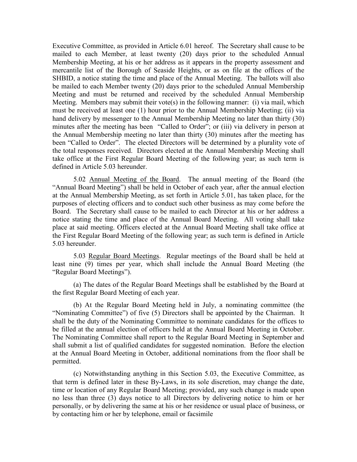Executive Committee, as provided in Article 6.01 hereof. The Secretary shall cause to be mailed to each Member, at least twenty (20) days prior to the scheduled Annual Membership Meeting, at his or her address as it appears in the property assessment and mercantile list of the Borough of Seaside Heights, or as on file at the offices of the SHBID, a notice stating the time and place of the Annual Meeting. The ballots will also be mailed to each Member twenty (20) days prior to the scheduled Annual Membership Meeting and must be returned and received by the scheduled Annual Membership Meeting. Members may submit their vote(s) in the following manner: (i) via mail, which must be received at least one (1) hour prior to the Annual Membership Meeting; (ii) via hand delivery by messenger to the Annual Membership Meeting no later than thirty (30) minutes after the meeting has been "Called to Order"; or (iii) via delivery in person at the Annual Membership meeting no later than thirty (30) minutes after the meeting has been "Called to Order". The elected Directors will be determined by a plurality vote of the total responses received. Directors elected at the Annual Membership Meeting shall take office at the First Regular Board Meeting of the following year; as such term is defined in Article 5.03 hereunder.

5.02 Annual Meeting of the Board. The annual meeting of the Board (the "Annual Board Meeting") shall be held in October of each year, after the annual election at the Annual Membership Meeting, as set forth in Article 5.01, has taken place, for the purposes of electing officers and to conduct such other business as may come before the Board. The Secretary shall cause to be mailed to each Director at his or her address a notice stating the time and place of the Annual Board Meeting. All voting shall take place at said meeting. Officers elected at the Annual Board Meeting shall take office at the First Regular Board Meeting of the following year; as such term is defined in Article 5.03 hereunder.

5.03 Regular Board Meetings. Regular meetings of the Board shall be held at least nine (9) times per year, which shall include the Annual Board Meeting (the "Regular Board Meetings").

(a) The dates of the Regular Board Meetings shall be established by the Board at the first Regular Board Meeting of each year.

(b) At the Regular Board Meeting held in July, a nominating committee (the "Nominating Committee") of five (5) Directors shall be appointed by the Chairman. It shall be the duty of the Nominating Committee to nominate candidates for the offices to be filled at the annual election of officers held at the Annual Board Meeting in October. The Nominating Committee shall report to the Regular Board Meeting in September and shall submit a list of qualified candidates for suggested nomination. Before the election at the Annual Board Meeting in October, additional nominations from the floor shall be permitted.

(c) Notwithstanding anything in this Section 5.03, the Executive Committee, as that term is defined later in these By-Laws, in its sole discretion, may change the date, time or location of any Regular Board Meeting; provided, any such change is made upon no less than three (3) days notice to all Directors by delivering notice to him or her personally, or by delivering the same at his or her residence or usual place of business, or by contacting him or her by telephone, email or facsimile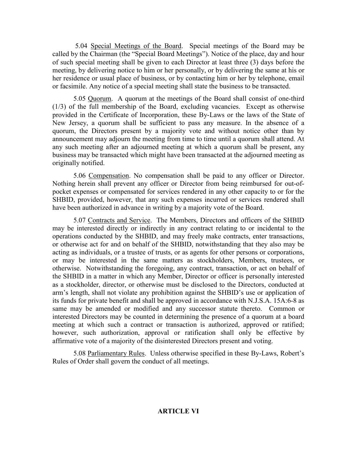5.04 Special Meetings of the Board. Special meetings of the Board may be called by the Chairman (the "Special Board Meetings"). Notice of the place, day and hour of such special meeting shall be given to each Director at least three (3) days before the meeting, by delivering notice to him or her personally, or by delivering the same at his or her residence or usual place of business, or by contacting him or her by telephone, email or facsimile. Any notice of a special meeting shall state the business to be transacted.

5.05 Quorum. A quorum at the meetings of the Board shall consist of one-third (1/3) of the full membership of the Board, excluding vacancies. Except as otherwise provided in the Certificate of Incorporation, these By-Laws or the laws of the State of New Jersey, a quorum shall be sufficient to pass any measure. In the absence of a quorum, the Directors present by a majority vote and without notice other than by announcement may adjourn the meeting from time to time until a quorum shall attend. At any such meeting after an adjourned meeting at which a quorum shall be present, any business may be transacted which might have been transacted at the adjourned meeting as originally notified.

5.06 Compensation. No compensation shall be paid to any officer or Director. Nothing herein shall prevent any officer or Director from being reimbursed for out-ofpocket expenses or compensated for services rendered in any other capacity to or for the SHBID, provided, however, that any such expenses incurred or services rendered shall have been authorized in advance in writing by a majority vote of the Board.

5.07 Contracts and Service. The Members, Directors and officers of the SHBID may be interested directly or indirectly in any contract relating to or incidental to the operations conducted by the SHBID, and may freely make contracts, enter transactions, or otherwise act for and on behalf of the SHBID, notwithstanding that they also may be acting as individuals, or a trustee of trusts, or as agents for other persons or corporations, or may be interested in the same matters as stockholders, Members, trustees, or otherwise. Notwithstanding the foregoing, any contract, transaction, or act on behalf of the SHBID in a matter in which any Member, Director or officer is personally interested as a stockholder, director, or otherwise must be disclosed to the Directors, conducted at arm's length, shall not violate any prohibition against the SHBID's use or application of its funds for private benefit and shall be approved in accordance with N.J.S.A. 15A:6-8 as same may be amended or modified and any successor statute thereto. Common or interested Directors may be counted in determining the presence of a quorum at a board meeting at which such a contract or transaction is authorized, approved or ratified; however, such authorization, approval or ratification shall only be effective by affirmative vote of a majority of the disinterested Directors present and voting.

5.08 Parliamentary Rules. Unless otherwise specified in these By-Laws, Robert's Rules of Order shall govern the conduct of all meetings.

## **ARTICLE VI**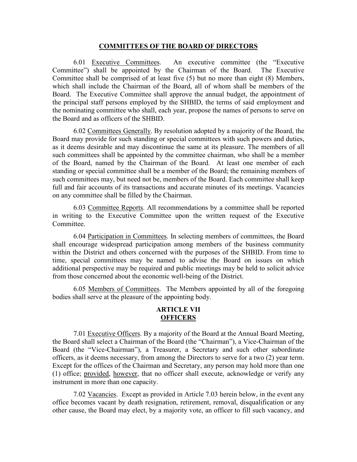#### **COMMITTEES OF THE BOARD OF DIRECTORS**

6.01 Executive Committees. An executive committee (the "Executive Committee") shall be appointed by the Chairman of the Board. The Executive Committee shall be comprised of at least five (5) but no more than eight (8) Members, which shall include the Chairman of the Board, all of whom shall be members of the Board. The Executive Committee shall approve the annual budget, the appointment of the principal staff persons employed by the SHBID, the terms of said employment and the nominating committee who shall, each year, propose the names of persons to serve on the Board and as officers of the SHBID.

6.02 Committees Generally. By resolution adopted by a majority of the Board, the Board may provide for such standing or special committees with such powers and duties, as it deems desirable and may discontinue the same at its pleasure. The members of all such committees shall be appointed by the committee chairman, who shall be a member of the Board, named by the Chairman of the Board. At least one member of each standing or special committee shall be a member of the Board; the remaining members of such committees may, but need not be, members of the Board. Each committee shall keep full and fair accounts of its transactions and accurate minutes of its meetings. Vacancies on any committee shall be filled by the Chairman.

6.03 Committee Reports. All recommendations by a committee shall be reported in writing to the Executive Committee upon the written request of the Executive Committee.

6.04 Participation in Committees. In selecting members of committees, the Board shall encourage widespread participation among members of the business community within the District and others concerned with the purposes of the SHBID. From time to time, special committees may be named to advise the Board on issues on which additional perspective may be required and public meetings may be held to solicit advice from those concerned about the economic well-being of the District.

6.05 Members of Committees. The Members appointed by all of the foregoing bodies shall serve at the pleasure of the appointing body.

## **ARTICLE VII OFFICERS**

7.01 Executive Officers. By a majority of the Board at the Annual Board Meeting, the Board shall select a Chairman of the Board (the "Chairman"), a Vice-Chairman of the Board (the "Vice-Chairman"), a Treasurer, a Secretary and such other subordinate officers, as it deems necessary, from among the Directors to serve for a two (2) year term. Except for the offices of the Chairman and Secretary, any person may hold more than one (1) office; provided, however, that no officer shall execute, acknowledge or verify any instrument in more than one capacity.

7.02 Vacancies. Except as provided in Article 7.03 herein below, in the event any office becomes vacant by death resignation, retirement, removal, disqualification or any other cause, the Board may elect, by a majority vote, an officer to fill such vacancy, and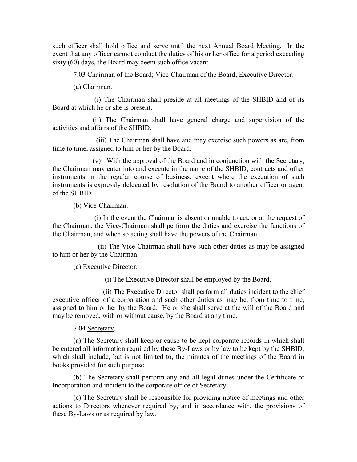such officer shall hold office and serve until the next Annual Board Meeting. In the event that any officer cannot conduct the duties of his or her office for a period exceeding sixty (60) days, the Board may deem such office vacant.

7.03 Chairman of the Board; Vice-Chairman of the Board; Executive Director.

(a) Chairman.

 (i) The Chairman shall preside at all meetings of the SHBID and of its Board at which he or she is present.

 (ii) The Chairman shall have general charge and supervision of the activities and affairs of the SHBID.

 (iii) The Chairman shall have and may exercise such powers as are, from time to time, assigned to him or her by the Board.

 (v) With the approval of the Board and in conjunction with the Secretary, the Chairman may enter into and execute in the name of the SHBID, contracts and other instruments in the regular course of business, except where the execution of such instruments is expressly delegated by resolution of the Board to another officer or agent of the SHBID.

(b) Vice-Chairman.

 (i) In the event the Chairman is absent or unable to act, or at the request of the Chairman, the Vice-Chairman shall perform the duties and exercise the functions of the Chairman, and when so acting shall have the powers of the Chairman.

 (ii) The Vice-Chairman shall have such other duties as may be assigned to him or her by the Chairman.

(c) Executive Director.

(i) The Executive Director shall be employed by the Board.

 (ii) The Executive Director shall perform all duties incident to the chief executive officer of a corporation and such other duties as may be, from time to time, assigned to him or her by the Board. He or she shall serve at the will of the Board and may be removed, with or without cause, by the Board at any time.

7.04 Secretary.

(a) The Secretary shall keep or cause to be kept corporate records in which shall be entered all information required by these By-Laws or by law to be kept by the SHBID, which shall include, but is not limited to, the minutes of the meetings of the Board in books provided for such purpose.

(b) The Secretary shall perform any and all legal duties under the Certificate of Incorporation and incident to the corporate office of Secretary.

(c) The Secretary shall be responsible for providing notice of meetings and other actions to Directors whenever required by, and in accordance with, the provisions of these By-Laws or as required by law.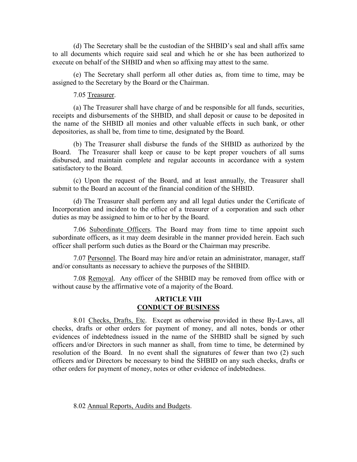(d) The Secretary shall be the custodian of the SHBID's seal and shall affix same to all documents which require said seal and which he or she has been authorized to execute on behalf of the SHBID and when so affixing may attest to the same.

(e) The Secretary shall perform all other duties as, from time to time, may be assigned to the Secretary by the Board or the Chairman.

7.05 Treasurer.

(a) The Treasurer shall have charge of and be responsible for all funds, securities, receipts and disbursements of the SHBID, and shall deposit or cause to be deposited in the name of the SHBID all monies and other valuable effects in such bank, or other depositories, as shall be, from time to time, designated by the Board.

(b) The Treasurer shall disburse the funds of the SHBID as authorized by the Board. The Treasurer shall keep or cause to be kept proper vouchers of all sums disbursed, and maintain complete and regular accounts in accordance with a system satisfactory to the Board.

(c) Upon the request of the Board, and at least annually, the Treasurer shall submit to the Board an account of the financial condition of the SHBID.

(d) The Treasurer shall perform any and all legal duties under the Certificate of Incorporation and incident to the office of a treasurer of a corporation and such other duties as may be assigned to him or to her by the Board.

7.06 Subordinate Officers. The Board may from time to time appoint such subordinate officers, as it may deem desirable in the manner provided herein. Each such officer shall perform such duties as the Board or the Chairman may prescribe.

7.07 Personnel. The Board may hire and/or retain an administrator, manager, staff and/or consultants as necessary to achieve the purposes of the SHBID.

7.08 Removal. Any officer of the SHBID may be removed from office with or without cause by the affirmative vote of a majority of the Board.

## **ARTICLE VIII CONDUCT OF BUSINESS**

8.01 Checks, Drafts, Etc. Except as otherwise provided in these By-Laws, all checks, drafts or other orders for payment of money, and all notes, bonds or other evidences of indebtedness issued in the name of the SHBID shall be signed by such officers and/or Directors in such manner as shall, from time to time, be determined by resolution of the Board. In no event shall the signatures of fewer than two (2) such officers and/or Directors be necessary to bind the SHBID on any such checks, drafts or other orders for payment of money, notes or other evidence of indebtedness.

8.02 Annual Reports, Audits and Budgets.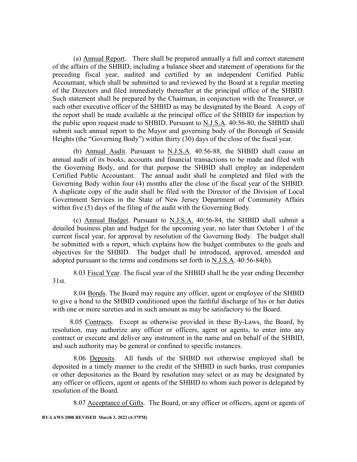(a) Annual Report. There shall be prepared annually a full and correct statement of the affairs of the SHBID, including a balance sheet and statement of operations for the preceding fiscal year, audited and certified by an independent Certified Public Accountant, which shall be submitted to and reviewed by the Board at a regular meeting of the Directors and filed immediately thereafter at the principal office of the SHBID. Such statement shall be prepared by the Chairman, in conjunction with the Treasurer, or such other executive officer of the SHBID as may be designated by the Board. A copy of the report shall be made available at the principal office of the SHBID for inspection by the public upon request made to SHBID. Pursuant to N.J.S.A. 40:56-80, the SHBID shall submit such annual report to the Mayor and governing body of the Borough of Seaside Heights (the "Governing Body") within thirty (30) days of the close of the fiscal year.

(b) Annual Audit. Pursuant to N.J.S.A. 40:56-88, the SHBID shall cause an annual audit of its books, accounts and financial transactions to be made and filed with the Governing Body, and for that purpose the SHBID shall employ an independent Certified Public Accountant. The annual audit shall be completed and filed with the Governing Body within four (4) months after the close of the fiscal year of the SHBID. A duplicate copy of the audit shall be filed with the Director of the Division of Local Government Services in the State of New Jersey Department of Community Affairs within five (5) days of the filing of the audit with the Governing Body.

(c) Annual Budget. Pursuant to N.J.S.A. 40:56-84, the SHBID shall submit a detailed business plan and budget for the upcoming year, no later than October 1 of the current fiscal year, for approval by resolution of the Governing Body. The budget shall be submitted with a report, which explains how the budget contributes to the goals and objectives for the SHBID. The budget shall be introduced, approved, amended and adopted pursuant to the terms and conditions set forth in N.J.S.A. 40:56-84(b).

8.03 Fiscal Year. The fiscal year of the SHBID shall be the year ending December 31st.

8.04 Bonds. The Board may require any officer, agent or employee of the SHBID to give a bond to the SHBID conditioned upon the faithful discharge of his or her duties with one or more sureties and in such amount as may be satisfactory to the Board.

 8.05 Contracts. Except as otherwise provided in these By-Laws, the Board, by resolution, may authorize any officer or officers, agent or agents, to enter into any contract or execute and deliver any instrument in the name and on behalf of the SHBID, and such authority may be general or confined to specific instances.

 8.06 Deposits. All funds of the SHBID not otherwise employed shall be deposited in a timely manner to the credit of the SHBID in such banks, trust companies or other depositories as the Board by resolution may select or as may be designated by any officer or officers, agent or agents of the SHBID to whom such power is delegated by resolution of the Board.

8.07 Acceptance of Gifts. The Board, or any officer or officers, agent or agents of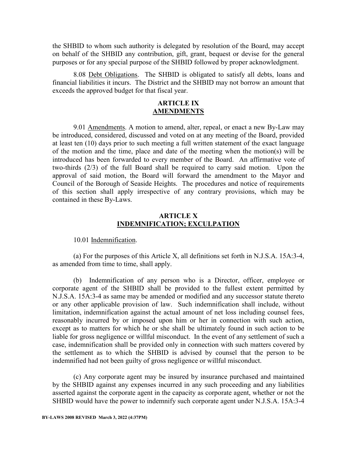the SHBID to whom such authority is delegated by resolution of the Board, may accept on behalf of the SHBID any contribution, gift, grant, bequest or devise for the general purposes or for any special purpose of the SHBID followed by proper acknowledgment.

8.08 Debt Obligations. The SHBID is obligated to satisfy all debts, loans and financial liabilities it incurs. The District and the SHBID may not borrow an amount that exceeds the approved budget for that fiscal year.

## **ARTICLE IX AMENDMENTS**

9.01 Amendments. A motion to amend, alter, repeal, or enact a new By-Law may be introduced, considered, discussed and voted on at any meeting of the Board, provided at least ten (10) days prior to such meeting a full written statement of the exact language of the motion and the time, place and date of the meeting when the motion(s) will be introduced has been forwarded to every member of the Board. An affirmative vote of two-thirds (2/3) of the full Board shall be required to carry said motion. Upon the approval of said motion, the Board will forward the amendment to the Mayor and Council of the Borough of Seaside Heights. The procedures and notice of requirements of this section shall apply irrespective of any contrary provisions, which may be contained in these By-Laws.

## **ARTICLE X INDEMNIFICATION; EXCULPATION**

10.01 Indemnification.

(a) For the purposes of this Article X, all definitions set forth in N.J.S.A. 15A:3-4, as amended from time to time, shall apply.

(b) Indemnification of any person who is a Director, officer, employee or corporate agent of the SHBID shall be provided to the fullest extent permitted by N.J.S.A. 15A:3-4 as same may be amended or modified and any successor statute thereto or any other applicable provision of law. Such indemnification shall include, without limitation, indemnification against the actual amount of net loss including counsel fees, reasonably incurred by or imposed upon him or her in connection with such action, except as to matters for which he or she shall be ultimately found in such action to be liable for gross negligence or willful misconduct. In the event of any settlement of such a case, indemnification shall be provided only in connection with such matters covered by the settlement as to which the SHBID is advised by counsel that the person to be indemnified had not been guilty of gross negligence or willful misconduct.

(c) Any corporate agent may be insured by insurance purchased and maintained by the SHBID against any expenses incurred in any such proceeding and any liabilities asserted against the corporate agent in the capacity as corporate agent, whether or not the SHBID would have the power to indemnify such corporate agent under N.J.S.A. 15A:3-4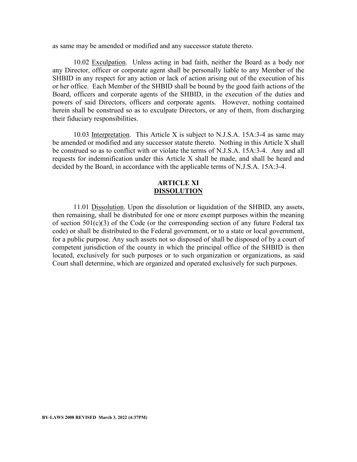as same may be amended or modified and any successor statute thereto.

10.02 Exculpation. Unless acting in bad faith, neither the Board as a body nor any Director, officer or corporate agent shall be personally liable to any Member of the SHBID in any respect for any action or lack of action arising out of the execution of his or her office. Each Member of the SHBID shall be bound by the good faith actions of the Board, officers and corporate agents of the SHBID, in the execution of the duties and powers of said Directors, officers and corporate agents. However, nothing contained herein shall be construed so as to exculpate Directors, or any of them, from discharging their fiduciary responsibilities.

10.03 Interpretation. This Article X is subject to N.J.S.A. 15A:3-4 as same may be amended or modified and any successor statute thereto. Nothing in this Article X shall be construed so as to conflict with or violate the terms of N.J.S.A. 15A:3-4. Any and all requests for indemnification under this Article X shall be made, and shall be heard and decided by the Board, in accordance with the applicable terms of N.J.S.A. 15A:3-4.

## **ARTICLE XI DISSOLUTION**

 11.01 Dissolution. Upon the dissolution or liquidation of the SHBID, any assets, then remaining, shall be distributed for one or more exempt purposes within the meaning of section  $501(c)(3)$  of the Code (or the corresponding section of any future Federal tax code) or shall be distributed to the Federal government, or to a state or local government, for a public purpose. Any such assets not so disposed of shall be disposed of by a court of competent jurisdiction of the county in which the principal office of the SHBID is then located, exclusively for such purposes or to such organization or organizations, as said Court shall determine, which are organized and operated exclusively for such purposes.